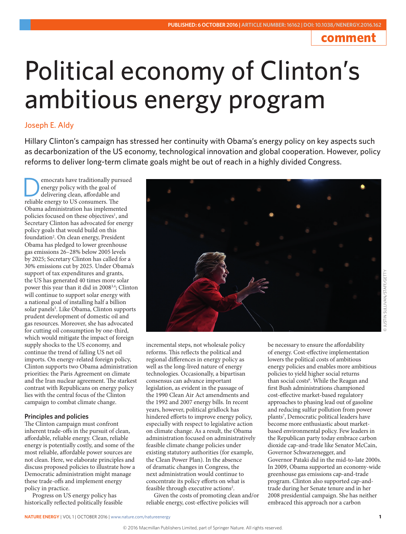# **comment**

# Political economy of Clinton's ambitious energy program

## Joseph E. Aldy

Hillary Clinton's campaign has stressed her continuity with Obama's energy policy on key aspects such as decarbonization of the US economy, technological innovation and global cooperation. However, policy reforms to deliver long-term climate goals might be out of reach in a highly divided Congress.

**EXECUTE CONCRETE CONCRETE A**<br>
delivering clean, affordable and<br>
reliable energy to US consumers. The energy policy with the goal of reliable energy to US consumers. The Obama administration has implemented policies focused on these objectives<sup>1</sup>, and Secretary Clinton has advocated for energy policy goals that would build on this foundation<sup>2</sup>. On clean energy, President Obama has pledged to lower greenhouse gas emissions 26–28% below 2005 levels by 2025; Secretary Clinton has called for a 30% emissions cut by 2025. Under Obama's support of tax expenditures and grants, the US has generated 40 times more solar power this year than it did in 20083,4; Clinton will continue to support solar energy with a national goal of installing half a billion solar panels<sup>5</sup>. Like Obama, Clinton supports prudent development of domestic oil and gas resources. Moreover, she has advocated for cutting oil consumption by one-third, which would mitigate the impact of foreign supply shocks to the US economy, and continue the trend of falling US net oil imports. On energy-related foreign policy, Clinton supports two Obama administration priorities: the Paris Agreement on climate and the Iran nuclear agreement. The starkest contrast with Republicans on energy policy lies with the central focus of the Clinton campaign to combat climate change.

### **Principles and policies**

The Clinton campaign must confront inherent trade-offs in the pursuit of clean, affordable, reliable energy. Clean, reliable energy is potentially costly, and some of the most reliable, affordable power sources are not clean. Here, we elaborate principles and discuss proposed policies to illustrate how a Democratic administration might manage these trade-offs and implement energy policy in practice.

Progress on US energy policy has historically reflected politically feasible



incremental steps, not wholesale policy reforms. This reflects the political and regional differences in energy policy as well as the long-lived nature of energy technologies. Occasionally, a bipartisan consensus can advance important legislation, as evident in the passage of the 1990 Clean Air Act amendments and the 1992 and 2007 energy bills. In recent years, however, political gridlock has hindered efforts to improve energy policy, especially with respect to legislative action on climate change. As a result, the Obama administration focused on administratively feasible climate change policies under existing statutory authorities (for example, the Clean Power Plan). In the absence of dramatic changes in Congress, the next administration would continue to concentrate its policy efforts on what is feasible through executive actions<sup>2</sup>.

Given the costs of promoting clean and/or reliable energy, cost-effective policies will

be necessary to ensure the affordability of energy. Cost-effective implementation lowers the political costs of ambitious energy policies and enables more ambitious policies to yield higher social returns than social costs<sup>6</sup>. While the Reagan and first Bush administrations championed cost-effective market-based regulatory approaches to phasing lead out of gasoline and reducing sulfur pollution from power plants<sup>7</sup>, Democratic political leaders have become more enthusiastic about marketbased environmental policy. Few leaders in the Republican party today embrace carbon dioxide cap-and-trade like Senator McCain, Governor Schwarzenegger, and Governor Pataki did in the mid-to-late 2000s. In 2009, Obama supported an economy-wide greenhouse gas emissions cap-and-trade program. Clinton also supported cap-andtrade during her Senate tenure and in her 2008 presidential campaign. She has neither embraced this approach nor a carbon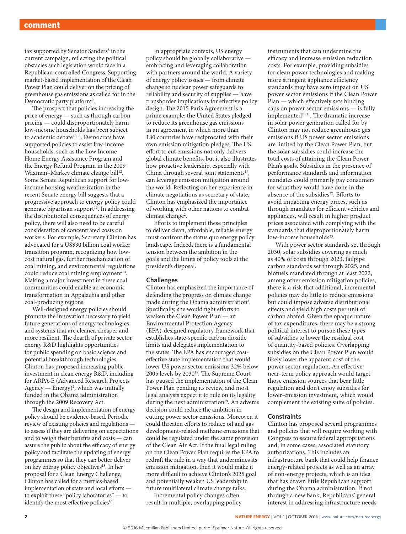tax supported by Senator Sanders<sup>8</sup> in the current campaign, reflecting the political obstacles such legislation would face in a Republican-controlled Congress. Supporting market-based implementation of the Clean Power Plan could deliver on the pricing of greenhouse gas emissions as called for in the Democratic party platform<sup>9</sup>.

The prospect that policies increasing the price of energy — such as through carbon pricing — could disproportionately harm low-income households has been subject to academic debate<sup>10,11</sup>. Democrats have supported policies to assist low-income households, such as the Low Income Home Energy Assistance Program and the Energy Refund Program in the 2009 Waxman-Markey climate change bill<sup>12</sup>. Some Senate Republican support for lowincome housing weatherization in the recent Senate energy bill suggests that a progressive approach to energy policy could generate bipartisan support<sup>13</sup>. In addressing the distributional consequences of energy policy, there will also need to be careful consideration of concentrated costs on workers. For example, Secretary Clinton has advocated for a US\$30 billion coal worker transition program, recognizing how lowcost natural gas, further mechanization of coal mining, and environmental regulations could reduce coal mining employment<sup>14</sup>. Making a major investment in these coal communities could enable an economic transformation in Appalachia and other coal-producing regions.

Well-designed energy policies should promote the innovation necessary to yield future generations of energy technologies and systems that are cleaner, cheaper and more resilient. The dearth of private sector energy R&D highlights opportunities for public spending on basic science and potential breakthrough technologies. Clinton has proposed increasing public investment in clean energy R&D, including for ARPA-E (Advanced Research Projects  $A$ gency — Energy $)^2$ , which was initially funded in the Obama administration through the 2009 Recovery Act.

The design and implementation of energy policy should be evidence-based. Periodic review of existing policies and regulations to assess if they are delivering on expectations and to weigh their benefits and costs — can assure the public about the efficacy of energy policy and facilitate the updating of energy programmes so that they can better deliver on key energy policy objectives<sup>15</sup>. In her proposal for a Clean Energy Challenge, Clinton has called for a metrics-based implementation of state and local efforts to exploit these "policy laboratories" — to identify the most effective policies<sup>16</sup>.

In appropriate contexts, US energy policy should be globally collaborative embracing and leveraging collaboration with partners around the world. A variety of energy policy issues — from climate change to nuclear power safeguards to reliability and security of supplies — have transborder implications for effective policy design. The 2015 Paris Agreement is a prime example: the United States pledged to reduce its greenhouse gas emissions in an agreement in which more than 180 countries have reciprocated with their own emission mitigation pledges. The US effort to cut emissions not only delivers global climate benefits, but it also illustrates how proactive leadership, especially with China through several joint statements<sup>17</sup>, can leverage emission mitigation around the world. Reflecting on her experience in climate negotiations as secretary of state, Clinton has emphasized the importance of working with other nations to combat climate change<sup>2</sup>.

Efforts to implement these principles to deliver clean, affordable, reliable energy must confront the status quo energy policy landscape. Indeed, there is a fundamental tension between the ambition in the goals and the limits of policy tools at the president's disposal.

#### **Challenges**

Clinton has emphasized the importance of defending the progress on climate change made during the Obama administration<sup>2</sup>. Specifically, she would fight efforts to weaken the Clean Power Plan — an Environmental Protection Agency (EPA)-designed regulatory framework that establishes state-specific carbon dioxide limits and delegates implementation to the states. The EPA has encouraged costeffective state implementation that would lower US power sector emissions 32% below 2005 levels by 203018. The Supreme Court has paused the implementation of the Clean Power Plan pending its review, and most legal analysts expect it to rule on its legality during the next administration<sup>19</sup>. An adverse decision could reduce the ambition in cutting power sector emissions. Moreover, it could threaten efforts to reduce oil and gas development-related methane emissions that could be regulated under the same provision of the Clean Air Act. If the final legal ruling on the Clean Power Plan requires the EPA to redraft the rule in a way that undermines its emission mitigation, then it would make it more difficult to achieve Clinton's 2025 goal and potentially weaken US leadership in future multilateral climate change talks.

Incremental policy changes often result in multiple, overlapping policy

instruments that can undermine the efficacy and increase emission reduction costs. For example, providing subsidies for clean power technologies and making more stringent appliance efficiency standards may have zero impact on US power sector emissions if the Clean Power Plan — which effectively sets binding caps on power sector emissions — is fully implemented<sup>20,21</sup>. The dramatic increase in solar power generation called for by Clinton may not reduce greenhouse gas emissions if US power sector emissions are limited by the Clean Power Plan, but the solar subsidies could increase the total costs of attaining the Clean Power Plan's goals. Subsidies in the presence of performance standards and information mandates could primarily pay consumers for what they would have done in the absence of the subsidies<sup>22</sup>. Efforts to avoid impacting energy prices, such as through mandates for efficient vehicles and appliances, will result in higher product prices associated with complying with the standards that disproportionately harm low-income households<sup>23</sup>.

With power sector standards set through 2030, solar subsidies covering as much as 40% of costs through 2023, tailpipe carbon standards set through 2025, and biofuels mandated through at least 2022, among other emission mitigation policies, there is a risk that additional, incremental policies may do little to reduce emissions but could impose adverse distributional effects and yield high costs per unit of carbon abated. Given the opaque nature of tax expenditures, there may be a strong political interest to pursue these types of subsidies to lower the residual cost of quantity-based policies. Overlapping subsidies on the Clean Power Plan would likely lower the apparent cost of the power sector regulation. An effective near-term policy approach would target those emission sources that bear little regulation and don't enjoy subsidies for lower-emission investment, which would complement the existing suite of policies.

#### **Constraints**

Clinton has proposed several programmes and policies that will require working with Congress to secure federal appropriations and, in some cases, associated statutory authorizations. This includes an infrastructure bank that could help finance energy-related projects as well as an array of non-energy projects, which is an idea that has drawn little Republican support during the Obama administration. If not through a new bank, Republicans' general interest in addressing infrastructure needs